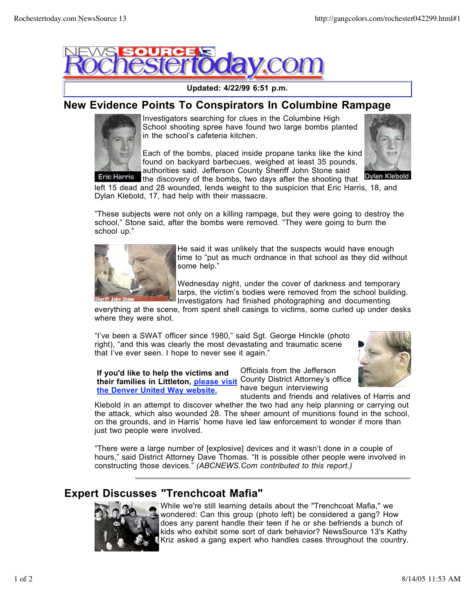

## **Updated: 4/22/99 6:51 p.m.**

## **New Evidence Points To Conspirators In Columbine Rampage**



Investigators searching for clues in the Columbine High School shooting spree have found two large bombs planted in the school's cafeteria kitchen.

Each of the bombs, placed inside propane tanks like the kind found on backyard barbecues, weighed at least 35 pounds, authorities said. Jefferson County Sheriff John Stone said the discovery of the bombs, two days after the shooting that



left 15 dead and 28 wounded, lends weight to the suspicion that Eric Harris, 18, and Dylan Klebold, 17, had help with their massacre.

"These subjects were not only on a killing rampage, but they were going to destroy the school," Stone said, after the bombs were removed. "They were going to burn the school up."



He said it was unlikely that the suspects would have enough time to "put as much ordnance in that school as they did without some help."

Wednesday night, under the cover of darkness and temporary tarps, the victim's bodies were removed from the school building. Investigators had finished photographing and documenting

everything at the scene, from spent shell casings to victims, some curled up under desks where they were shot.

"I've been a SWAT officer since 1980," said Sgt. George Hinckle (photo right), "and this was clearly the most devastating and traumatic scene that I've ever seen. I hope to never see it again."

**If you'd like to help the victims and their families in Littleton, please visit** County District Attorney's office **the Denver United Way website.**

Officials from the Jefferson have begun interviewing

students and friends and relatives of Harris and Klebold in an attempt to discover whether the two had any help planning or carrying out the attack, which also wounded 28. The sheer amount of munitions found in the school, on the grounds, and in Harris' home have led law enforcement to wonder if more than just two people were involved.

"There were a large number of [explosive] devices and it wasn't done in a couple of hours," said District Attorney Dave Thomas. "It is possible other people were involved in constructing those devices." *(ABCNEWS.Com contributed to this report.)*

## **Expert Discusses "Trenchcoat Mafia"**



While we're still learning details about the "Trenchcoat Mafia," we wondered: Can this group (photo left) be considered a gang? How does any parent handle their teen if he or she befriends a bunch of kids who exhibit some sort of dark behavior? NewsSource 13's Kathy Kriz asked a gang expert who handles cases throughout the country.